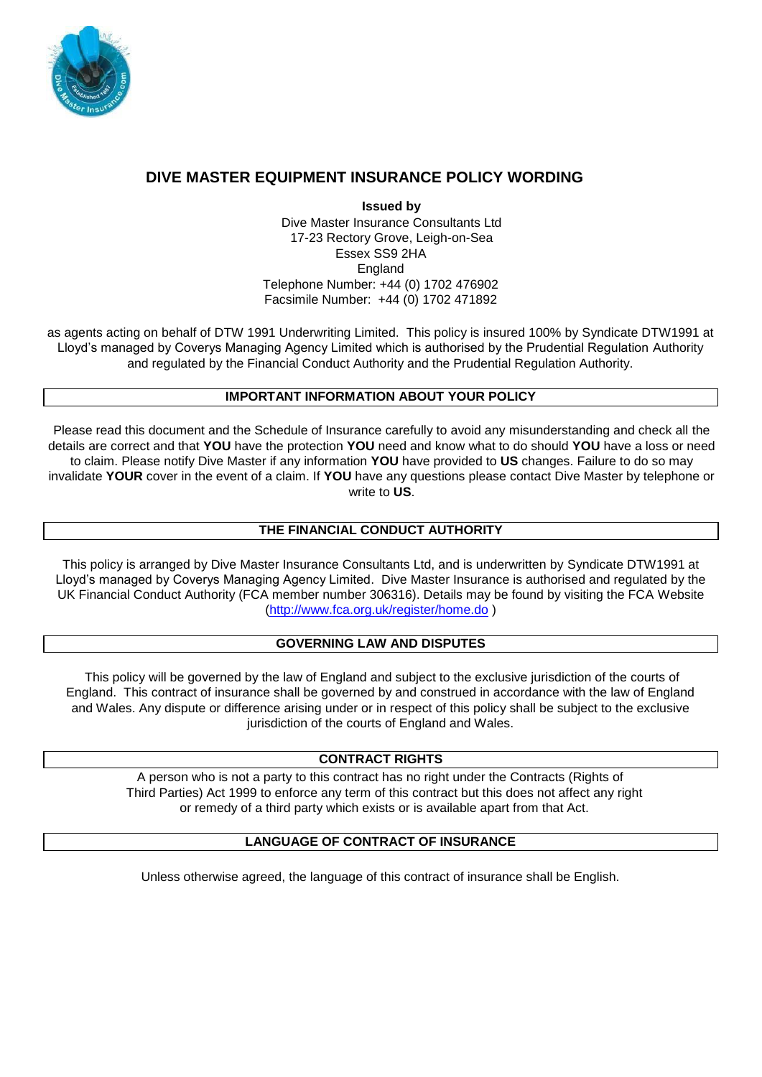

# **DIVE MASTER EQUIPMENT INSURANCE POLICY WORDING**

**Issued by**  Dive Master Insurance Consultants Ltd 17-23 Rectory Grove, Leigh-on-Sea Essex SS9 2HA England Telephone Number: +44 (0) 1702 476902 Facsimile Number: +44 (0) 1702 471892

as agents acting on behalf of DTW 1991 Underwriting Limited. This policy is insured 100% by Syndicate DTW1991 at Lloyd's managed by Coverys Managing Agency Limited which is authorised by the Prudential Regulation Authority and regulated by the Financial Conduct Authority and the Prudential Regulation Authority.

# **IMPORTANT INFORMATION ABOUT YOUR POLICY**

Please read this document and the Schedule of Insurance carefully to avoid any misunderstanding and check all the details are correct and that **YOU** have the protection **YOU** need and know what to do should **YOU** have a loss or need to claim. Please notify Dive Master if any information **YOU** have provided to **US** changes. Failure to do so may invalidate **YOUR** cover in the event of a claim. If **YOU** have any questions please contact Dive Master by telephone or write to **US**.

# **THE FINANCIAL CONDUCT AUTHORITY**

This policy is arranged by Dive Master Insurance Consultants Ltd, and is underwritten by Syndicate DTW1991 at Lloyd's managed by Coverys Managing Agency Limited. Dive Master Insurance is authorised and regulated by the UK Financial Conduct Authority (FCA member number 306316). Details may be found by visiting the FCA Website [\(http://www.fca.org.uk/register/home.do](http://www.fca.org.uk/register/home.do) [\)](http://www.fca.org.uk/register/home.do)

# **GOVERNING LAW AND DISPUTES**

This policy will be governed by the law of England and subject to the exclusive jurisdiction of the courts of England. This contract of insurance shall be governed by and construed in accordance with the law of England and Wales. Any dispute or difference arising under or in respect of this policy shall be subject to the exclusive jurisdiction of the courts of England and Wales.

# **CONTRACT RIGHTS**

A person who is not a party to this contract has no right under the Contracts (Rights of Third Parties) Act 1999 to enforce any term of this contract but this does not affect any right or remedy of a third party which exists or is available apart from that Act.

# **LANGUAGE OF CONTRACT OF INSURANCE**

Unless otherwise agreed, the language of this contract of insurance shall be English.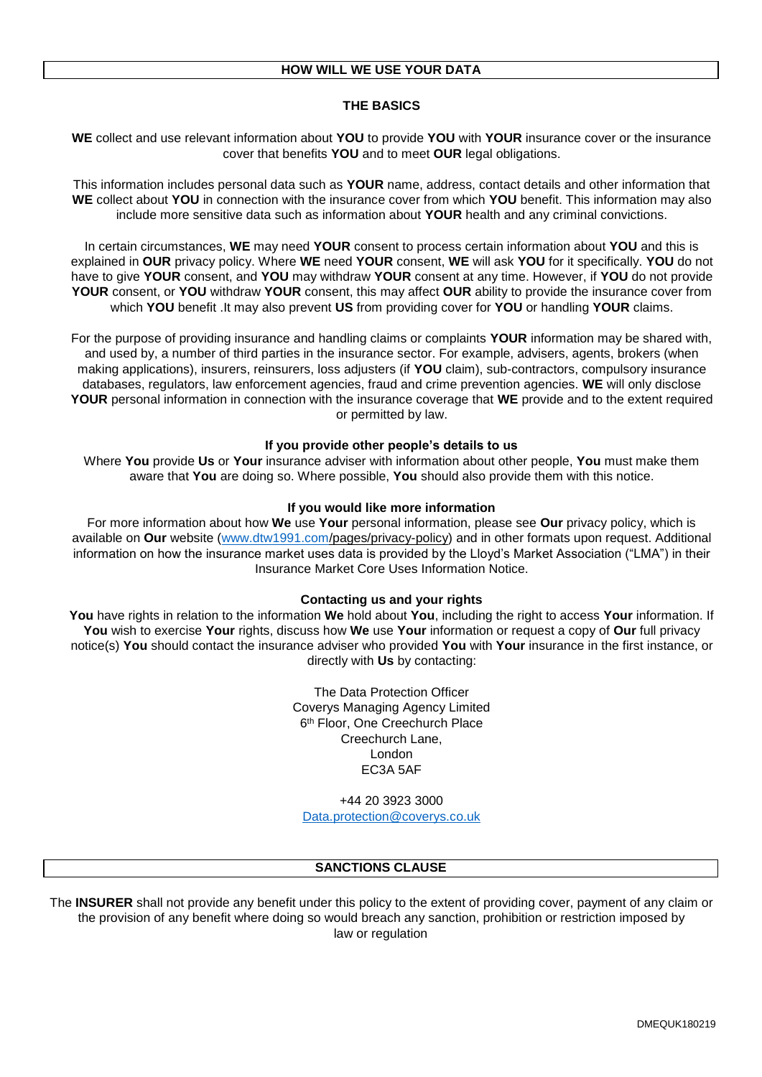### **THE BASICS**

**WE** collect and use relevant information about **YOU** to provide **YOU** with **YOUR** insurance cover or the insurance cover that benefits **YOU** and to meet **OUR** legal obligations.

This information includes personal data such as **YOUR** name, address, contact details and other information that **WE** collect about **YOU** in connection with the insurance cover from which **YOU** benefit. This information may also include more sensitive data such as information about **YOUR** health and any criminal convictions.

In certain circumstances, **WE** may need **YOUR** consent to process certain information about **YOU** and this is explained in **OUR** privacy policy. Where **WE** need **YOUR** consent, **WE** will ask **YOU** for it specifically. **YOU** do not have to give **YOUR** consent, and **YOU** may withdraw **YOUR** consent at any time. However, if **YOU** do not provide **YOUR** consent, or **YOU** withdraw **YOUR** consent, this may affect **OUR** ability to provide the insurance cover from which **YOU** benefit .It may also prevent **US** from providing cover for **YOU** or handling **YOUR** claims.

For the purpose of providing insurance and handling claims or complaints **YOUR** information may be shared with, and used by, a number of third parties in the insurance sector. For example, advisers, agents, brokers (when making applications), insurers, reinsurers, loss adjusters (if **YOU** claim), sub-contractors, compulsory insurance databases, regulators, law enforcement agencies, fraud and crime prevention agencies. **WE** will only disclose **YOUR** personal information in connection with the insurance coverage that **WE** provide and to the extent required or permitted by law.

### **If you provide other people's details to us**

Where **You** provide **Us** or **Your** insurance adviser with information about other people, **You** must make them aware that **You** are doing so. Where possible, **You** should also provide them with this notice.

#### **If you would like more information**

For more information about how **We** use **Your** personal information, please see **Our** privacy policy, which is available on **Our** website [\(www.dtw1991.com/](http://www.dtw1991.com/)pages/privacy-policy) and in other formats upon request. Additional information on how the insurance market uses data is provided by the Lloyd's Market Association ("LMA") in their Insurance Market Core Uses Information Notice.

#### **Contacting us and your rights**

**You** have rights in relation to the information **We** hold about **You**, including the right to access **Your** information. If **You** wish to exercise **Your** rights, discuss how **We** use **Your** information or request a copy of **Our** full privacy notice(s) **You** should contact the insurance adviser who provided **You** with **Your** insurance in the first instance, or directly with **Us** by contacting:

> The Data Protection Officer Coverys Managing Agency Limited 6<sup>th</sup> Floor, One Creechurch Place Creechurch Lane, London EC3A 5AF

+44 20 3923 3000 [Data.protection@coverys.co.uk](mailto:Data.protection@coverys.co.uk)

#### **SANCTIONS CLAUSE**

The **INSURER** shall not provide any benefit under this policy to the extent of providing cover, payment of any claim or the provision of any benefit where doing so would breach any sanction, prohibition or restriction imposed by law or regulation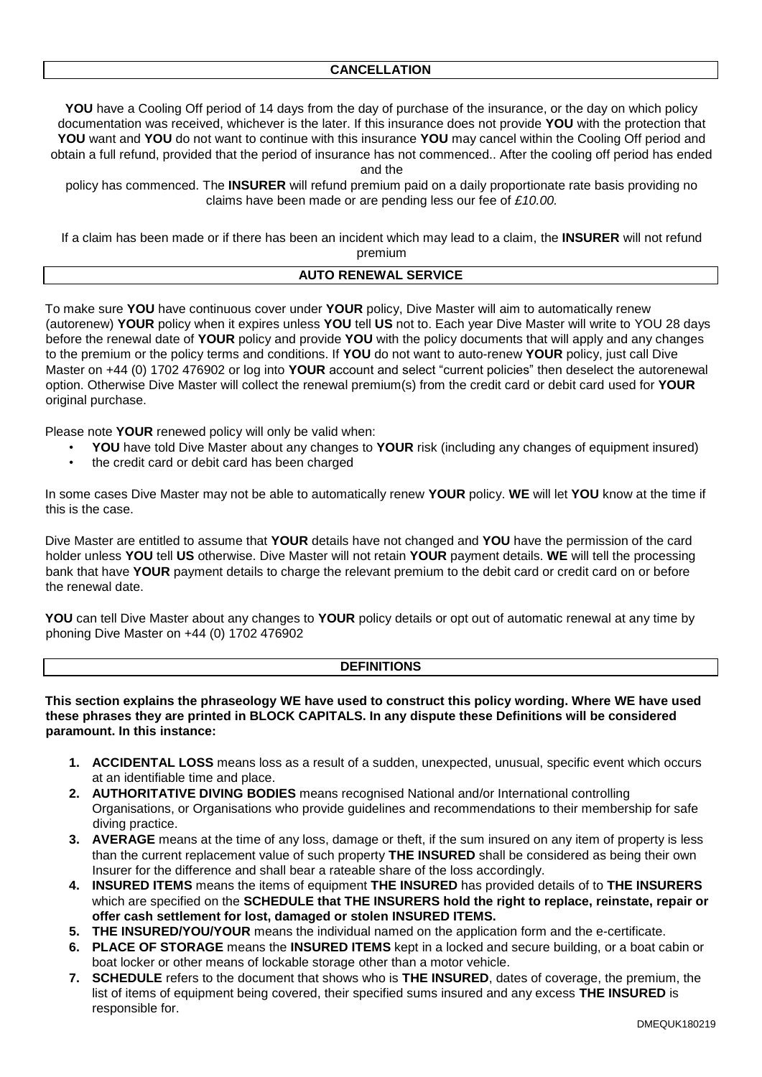**YOU** have a Cooling Off period of 14 days from the day of purchase of the insurance, or the day on which policy documentation was received, whichever is the later. If this insurance does not provide **YOU** with the protection that **YOU** want and **YOU** do not want to continue with this insurance **YOU** may cancel within the Cooling Off period and obtain a full refund, provided that the period of insurance has not commenced.. After the cooling off period has ended and the

policy has commenced. The **INSURER** will refund premium paid on a daily proportionate rate basis providing no claims have been made or are pending less our fee of *£10.00.*

If a claim has been made or if there has been an incident which may lead to a claim, the **INSURER** will not refund premium

# **AUTO RENEWAL SERVICE**

To make sure **YOU** have continuous cover under **YOUR** policy, Dive Master will aim to automatically renew (autorenew) **YOUR** policy when it expires unless **YOU** tell **US** not to. Each year Dive Master will write to YOU 28 days before the renewal date of **YOUR** policy and provide **YOU** with the policy documents that will apply and any changes to the premium or the policy terms and conditions. If **YOU** do not want to auto-renew **YOUR** policy, just call Dive Master on +44 (0) 1702 476902 or log into **YOUR** account and select "current policies" then deselect the autorenewal option. Otherwise Dive Master will collect the renewal premium(s) from the credit card or debit card used for **YOUR** original purchase.

Please note **YOUR** renewed policy will only be valid when:

- **YOU** have told Dive Master about any changes to **YOUR** risk (including any changes of equipment insured)
- the credit card or debit card has been charged

In some cases Dive Master may not be able to automatically renew **YOUR** policy. **WE** will let **YOU** know at the time if this is the case.

Dive Master are entitled to assume that **YOUR** details have not changed and **YOU** have the permission of the card holder unless **YOU** tell **US** otherwise. Dive Master will not retain **YOUR** payment details. **WE** will tell the processing bank that have **YOUR** payment details to charge the relevant premium to the debit card or credit card on or before the renewal date.

**YOU** can tell Dive Master about any changes to **YOUR** policy details or opt out of automatic renewal at any time by phoning Dive Master on +44 (0) 1702 476902

# **DEFINITIONS**

**This section explains the phraseology WE have used to construct this policy wording. Where WE have used these phrases they are printed in BLOCK CAPITALS. In any dispute these Definitions will be considered paramount. In this instance:** 

- **1. ACCIDENTAL LOSS** means loss as a result of a sudden, unexpected, unusual, specific event which occurs at an identifiable time and place.
- **2. AUTHORITATIVE DIVING BODIES** means recognised National and/or International controlling Organisations, or Organisations who provide guidelines and recommendations to their membership for safe diving practice.
- **3. AVERAGE** means at the time of any loss, damage or theft, if the sum insured on any item of property is less than the current replacement value of such property **THE INSURED** shall be considered as being their own Insurer for the difference and shall bear a rateable share of the loss accordingly.
- **4. INSURED ITEMS** means the items of equipment **THE INSURED** has provided details of to **THE INSURERS** which are specified on the **SCHEDULE that THE INSURERS hold the right to replace, reinstate, repair or offer cash settlement for lost, damaged or stolen INSURED ITEMS.**
- **5. THE INSURED/YOU/YOUR** means the individual named on the application form and the e-certificate.
- **6. PLACE OF STORAGE** means the **INSURED ITEMS** kept in a locked and secure building, or a boat cabin or boat locker or other means of lockable storage other than a motor vehicle.
- **7. SCHEDULE** refers to the document that shows who is **THE INSURED**, dates of coverage, the premium, the list of items of equipment being covered, their specified sums insured and any excess **THE INSURED** is responsible for.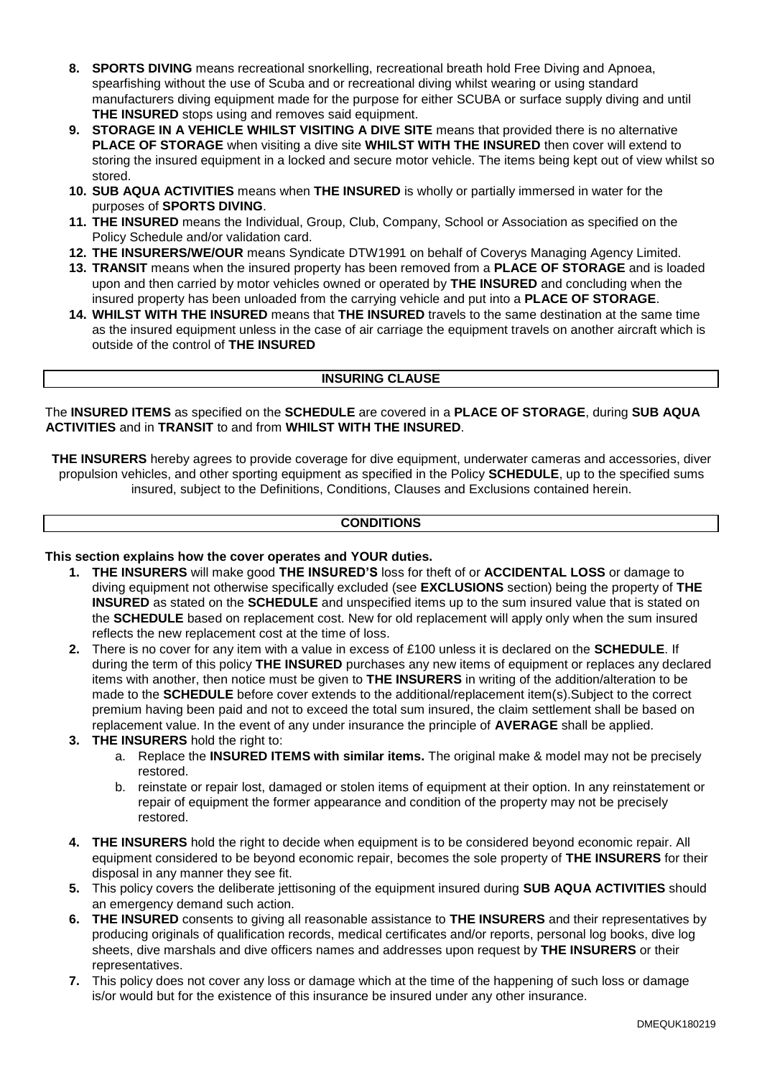- **8. SPORTS DIVING** means recreational snorkelling, recreational breath hold Free Diving and Apnoea, spearfishing without the use of Scuba and or recreational diving whilst wearing or using standard manufacturers diving equipment made for the purpose for either SCUBA or surface supply diving and until **THE INSURED** stops using and removes said equipment.
- **9. STORAGE IN A VEHICLE WHILST VISITING A DIVE SITE** means that provided there is no alternative **PLACE OF STORAGE** when visiting a dive site **WHILST WITH THE INSURED** then cover will extend to storing the insured equipment in a locked and secure motor vehicle. The items being kept out of view whilst so stored.
- **10. SUB AQUA ACTIVITIES** means when **THE INSURED** is wholly or partially immersed in water for the purposes of **SPORTS DIVING**.
- **11. THE INSURED** means the Individual, Group, Club, Company, School or Association as specified on the Policy Schedule and/or validation card.
- **12. THE INSURERS/WE/OUR** means Syndicate DTW1991 on behalf of Coverys Managing Agency Limited.
- **13. TRANSIT** means when the insured property has been removed from a **PLACE OF STORAGE** and is loaded upon and then carried by motor vehicles owned or operated by **THE INSURED** and concluding when the insured property has been unloaded from the carrying vehicle and put into a **PLACE OF STORAGE**.
- **14. WHILST WITH THE INSURED** means that **THE INSURED** travels to the same destination at the same time as the insured equipment unless in the case of air carriage the equipment travels on another aircraft which is outside of the control of **THE INSURED**

# **INSURING CLAUSE**

The **INSURED ITEMS** as specified on the **SCHEDULE** are covered in a **PLACE OF STORAGE**, during **SUB AQUA ACTIVITIES** and in **TRANSIT** to and from **WHILST WITH THE INSURED**.

**THE INSURERS** hereby agrees to provide coverage for dive equipment, underwater cameras and accessories, diver propulsion vehicles, and other sporting equipment as specified in the Policy **SCHEDULE**, up to the specified sums insured, subject to the Definitions, Conditions, Clauses and Exclusions contained herein.

# **CONDITIONS**

#### **This section explains how the cover operates and YOUR duties.**

- **1. THE INSURERS** will make good **THE INSURED'S** loss for theft of or **ACCIDENTAL LOSS** or damage to diving equipment not otherwise specifically excluded (see **EXCLUSIONS** section) being the property of **THE INSURED** as stated on the **SCHEDULE** and unspecified items up to the sum insured value that is stated on the **SCHEDULE** based on replacement cost. New for old replacement will apply only when the sum insured reflects the new replacement cost at the time of loss.
- **2.** There is no cover for any item with a value in excess of £100 unless it is declared on the **SCHEDULE**. If during the term of this policy **THE INSURED** purchases any new items of equipment or replaces any declared items with another, then notice must be given to **THE INSURERS** in writing of the addition/alteration to be made to the **SCHEDULE** before cover extends to the additional/replacement item(s).Subject to the correct premium having been paid and not to exceed the total sum insured, the claim settlement shall be based on replacement value. In the event of any under insurance the principle of **AVERAGE** shall be applied.
- **3. THE INSURERS** hold the right to:
	- a. Replace the **INSURED ITEMS with similar items.** The original make & model may not be precisely restored.
	- b. reinstate or repair lost, damaged or stolen items of equipment at their option. In any reinstatement or repair of equipment the former appearance and condition of the property may not be precisely restored.
- **4. THE INSURERS** hold the right to decide when equipment is to be considered beyond economic repair. All equipment considered to be beyond economic repair, becomes the sole property of **THE INSURERS** for their disposal in any manner they see fit.
- **5.** This policy covers the deliberate jettisoning of the equipment insured during **SUB AQUA ACTIVITIES** should an emergency demand such action.
- **6. THE INSURED** consents to giving all reasonable assistance to **THE INSURERS** and their representatives by producing originals of qualification records, medical certificates and/or reports, personal log books, dive log sheets, dive marshals and dive officers names and addresses upon request by **THE INSURERS** or their representatives.
- **7.** This policy does not cover any loss or damage which at the time of the happening of such loss or damage is/or would but for the existence of this insurance be insured under any other insurance.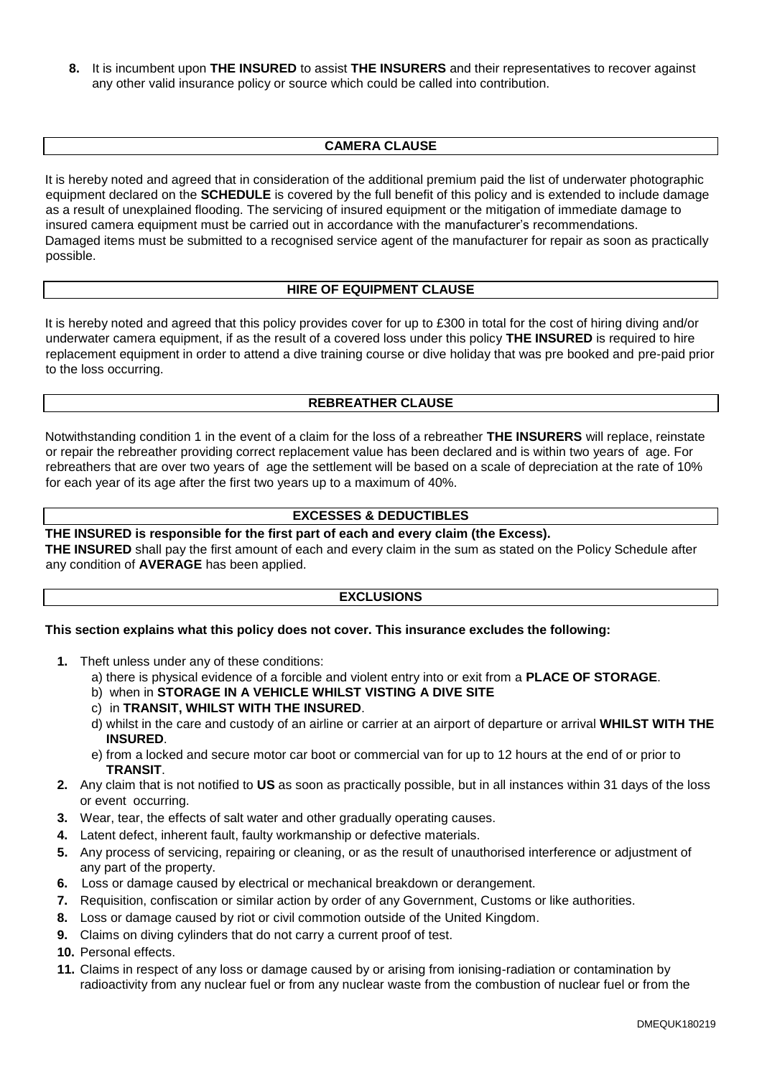**8.** It is incumbent upon **THE INSURED** to assist **THE INSURERS** and their representatives to recover against any other valid insurance policy or source which could be called into contribution.

# **CAMERA CLAUSE**

It is hereby noted and agreed that in consideration of the additional premium paid the list of underwater photographic equipment declared on the **SCHEDULE** is covered by the full benefit of this policy and is extended to include damage as a result of unexplained flooding. The servicing of insured equipment or the mitigation of immediate damage to insured camera equipment must be carried out in accordance with the manufacturer's recommendations. Damaged items must be submitted to a recognised service agent of the manufacturer for repair as soon as practically possible.

### **HIRE OF EQUIPMENT CLAUSE**

It is hereby noted and agreed that this policy provides cover for up to £300 in total for the cost of hiring diving and/or underwater camera equipment, if as the result of a covered loss under this policy **THE INSURED** is required to hire replacement equipment in order to attend a dive training course or dive holiday that was pre booked and pre-paid prior to the loss occurring.

# **REBREATHER CLAUSE**

Notwithstanding condition 1 in the event of a claim for the loss of a rebreather **THE INSURERS** will replace, reinstate or repair the rebreather providing correct replacement value has been declared and is within two years of age. For rebreathers that are over two years of age the settlement will be based on a scale of depreciation at the rate of 10% for each year of its age after the first two years up to a maximum of 40%.

# **EXCESSES & DEDUCTIBLES**

#### **THE INSURED is responsible for the first part of each and every claim (the Excess).**

**THE INSURED** shall pay the first amount of each and every claim in the sum as stated on the Policy Schedule after any condition of **AVERAGE** has been applied.

#### **EXCLUSIONS**

#### **This section explains what this policy does not cover. This insurance excludes the following:**

- **1.** Theft unless under any of these conditions:
	- a) there is physical evidence of a forcible and violent entry into or exit from a **PLACE OF STORAGE**.
	- b) when in **STORAGE IN A VEHICLE WHILST VISTING A DIVE SITE**
	- c) in **TRANSIT, WHILST WITH THE INSURED**.
	- d) whilst in the care and custody of an airline or carrier at an airport of departure or arrival **WHILST WITH THE INSURED**.
	- e) from a locked and secure motor car boot or commercial van for up to 12 hours at the end of or prior to **TRANSIT**.
- **2.** Any claim that is not notified to **US** as soon as practically possible, but in all instances within 31 days of the loss or event occurring.
- **3.** Wear, tear, the effects of salt water and other gradually operating causes.
- **4.** Latent defect, inherent fault, faulty workmanship or defective materials.
- **5.** Any process of servicing, repairing or cleaning, or as the result of unauthorised interference or adjustment of any part of the property.
- **6.** Loss or damage caused by electrical or mechanical breakdown or derangement.
- **7.** Requisition, confiscation or similar action by order of any Government, Customs or like authorities.
- **8.** Loss or damage caused by riot or civil commotion outside of the United Kingdom.
- **9.** Claims on diving cylinders that do not carry a current proof of test.
- **10.** Personal effects.
- **11.** Claims in respect of any loss or damage caused by or arising from ionising-radiation or contamination by radioactivity from any nuclear fuel or from any nuclear waste from the combustion of nuclear fuel or from the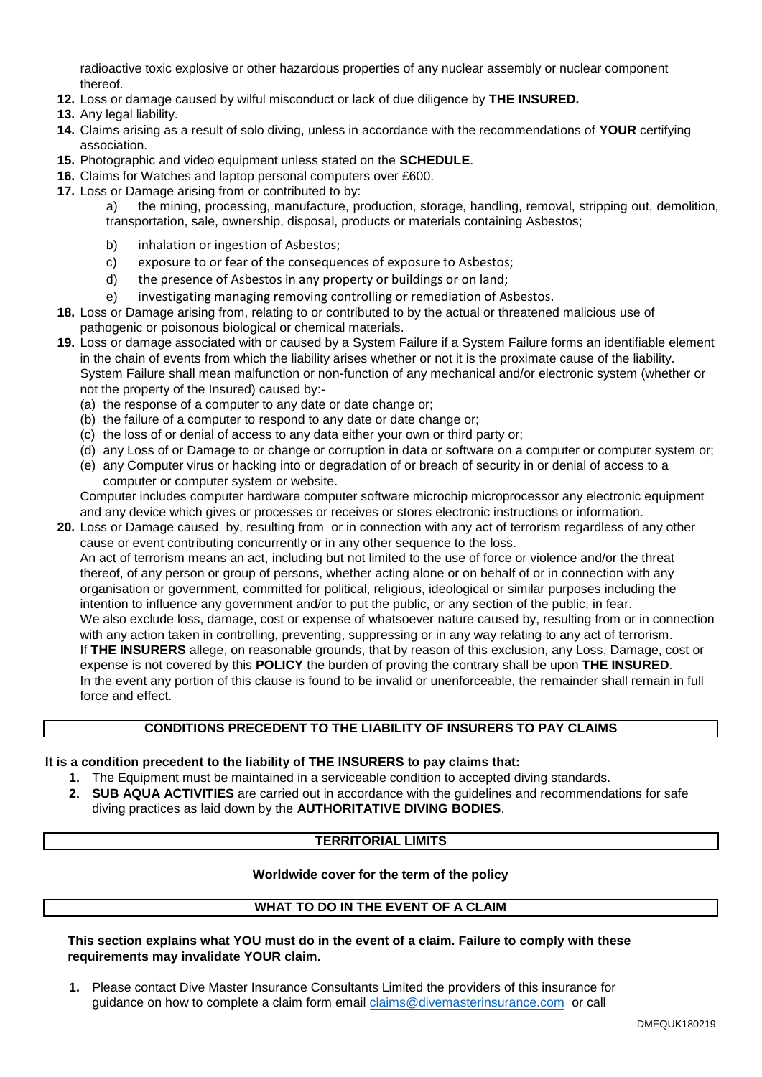radioactive toxic explosive or other hazardous properties of any nuclear assembly or nuclear component thereof.

- **12.** Loss or damage caused by wilful misconduct or lack of due diligence by **THE INSURED.**
- **13.** Any legal liability.
- **14.** Claims arising as a result of solo diving, unless in accordance with the recommendations of **YOUR** certifying association.
- **15.** Photographic and video equipment unless stated on the **SCHEDULE**.
- **16.** Claims for Watches and laptop personal computers over £600.
- **17.** Loss or Damage arising from or contributed to by:

a) the mining, processing, manufacture, production, storage, handling, removal, stripping out, demolition, transportation, sale, ownership, disposal, products or materials containing Asbestos;

- b) inhalation or ingestion of Asbestos;
- c) exposure to or fear of the consequences of exposure to Asbestos;
- d) the presence of Asbestos in any property or buildings or on land;
- e) investigating managing removing controlling or remediation of Asbestos.
- **18.** Loss or Damage arising from, relating to or contributed to by the actual or threatened malicious use of pathogenic or poisonous biological or chemical materials.
- **19.** Loss or damage associated with or caused by a System Failure if a System Failure forms an identifiable element in the chain of events from which the liability arises whether or not it is the proximate cause of the liability. System Failure shall mean malfunction or non-function of any mechanical and/or electronic system (whether or not the property of the Insured) caused by:-
	- (a) the response of a computer to any date or date change or;
	- (b) the failure of a computer to respond to any date or date change or;
	- (c) the loss of or denial of access to any data either your own or third party or;
	- (d) any Loss of or Damage to or change or corruption in data or software on a computer or computer system or;
	- (e) any Computer virus or hacking into or degradation of or breach of security in or denial of access to a computer or computer system or website.

Computer includes computer hardware computer software microchip microprocessor any electronic equipment and any device which gives or processes or receives or stores electronic instructions or information.

**20.** Loss or Damage caused by, resulting from or in connection with any act of terrorism regardless of any other cause or event contributing concurrently or in any other sequence to the loss.

An act of terrorism means an act, including but not limited to the use of force or violence and/or the threat thereof, of any person or group of persons, whether acting alone or on behalf of or in connection with any organisation or government, committed for political, religious, ideological or similar purposes including the intention to influence any government and/or to put the public, or any section of the public, in fear. We also exclude loss, damage, cost or expense of whatsoever nature caused by, resulting from or in connection with any action taken in controlling, preventing, suppressing or in any way relating to any act of terrorism. If **THE INSURERS** allege, on reasonable grounds, that by reason of this exclusion, any Loss, Damage, cost or expense is not covered by this **POLICY** the burden of proving the contrary shall be upon **THE INSURED**. In the event any portion of this clause is found to be invalid or unenforceable, the remainder shall remain in full force and effect.

### **CONDITIONS PRECEDENT TO THE LIABILITY OF INSURERS TO PAY CLAIMS**

#### **It is a condition precedent to the liability of THE INSURERS to pay claims that:**

- **1.** The Equipment must be maintained in a serviceable condition to accepted diving standards.
- **2. SUB AQUA ACTIVITIES** are carried out in accordance with the guidelines and recommendations for safe diving practices as laid down by the **AUTHORITATIVE DIVING BODIES**.

#### **TERRITORIAL LIMITS**

### **Worldwide cover for the term of the policy**

# **WHAT TO DO IN THE EVENT OF A CLAIM**

**This section explains what YOU must do in the event of a claim. Failure to comply with these requirements may invalidate YOUR claim.** 

**1.** Please contact Dive Master Insurance Consultants Limited the providers of this insurance for guidance on how to complete a claim form email [claims@divemasterinsurance.com](mailto:claims@divemasterinsurance.com) or call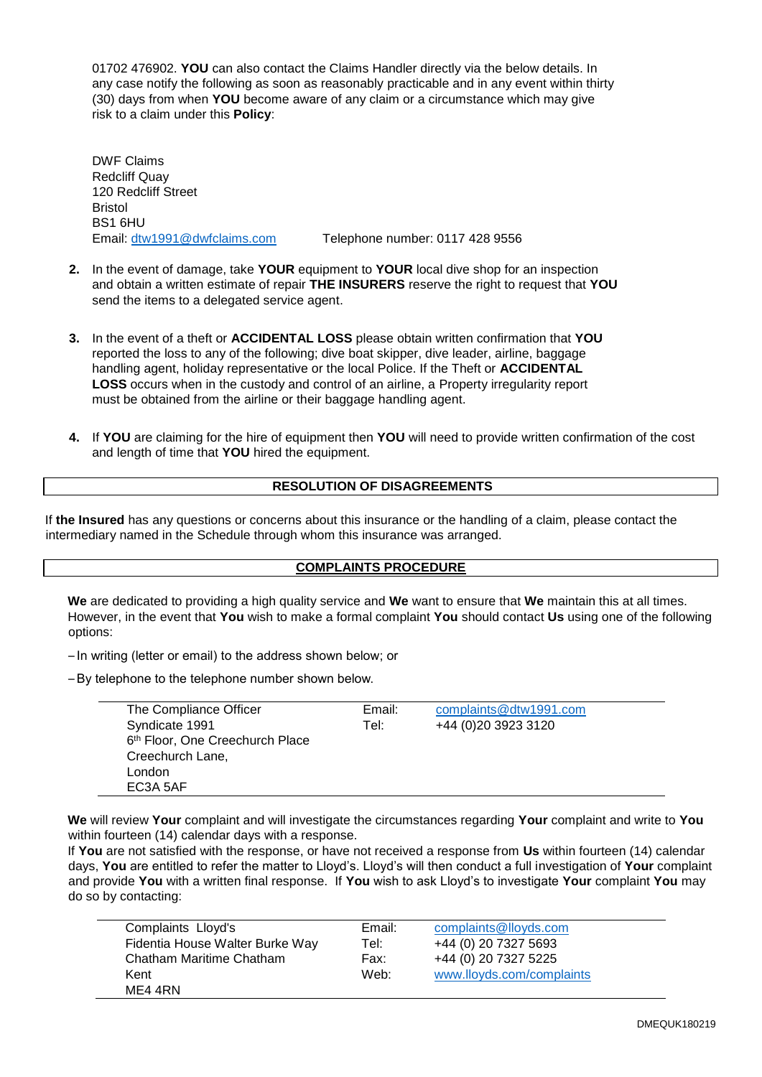01702 476902. **YOU** can also contact the Claims Handler directly via the below details. In any case notify the following as soon as reasonably practicable and in any event within thirty (30) days from when **YOU** become aware of any claim or a circumstance which may give risk to a claim under this **Policy**:

DWF Claims Redcliff Quay 120 Redcliff Street **Bristol** BS1 6HU

Email: [dtw1991@dwfclaims.com](mailto:dtw1991@dwfclaims.com) Telephone number: 0117 428 9556

- **2.** In the event of damage, take **YOUR** equipment to **YOUR** local dive shop for an inspection and obtain a written estimate of repair **THE INSURERS** reserve the right to request that **YOU** send the items to a delegated service agent.
- **3.** In the event of a theft or **ACCIDENTAL LOSS** please obtain written confirmation that **YOU** reported the loss to any of the following; dive boat skipper, dive leader, airline, baggage handling agent, holiday representative or the local Police. If the Theft or **ACCIDENTAL LOSS** occurs when in the custody and control of an airline, a Property irregularity report must be obtained from the airline or their baggage handling agent.
- **4.** If **YOU** are claiming for the hire of equipment then **YOU** will need to provide written confirmation of the cost and length of time that **YOU** hired the equipment.

# **RESOLUTION OF DISAGREEMENTS**

If **the Insured** has any questions or concerns about this insurance or the handling of a claim, please contact the intermediary named in the Schedule through whom this insurance was arranged.

#### **COMPLAINTS PROCEDURE**

**We** are dedicated to providing a high quality service and **We** want to ensure that **We** maintain this at all times. However, in the event that **You** wish to make a formal complaint **You** should contact **Us** using one of the following options:

– In writing (letter or email) to the address shown below; or

–By telephone to the telephone number shown below.

| The Compliance Officer          | Email: | complaints@dtw1991.com |
|---------------------------------|--------|------------------------|
| Syndicate 1991                  | Tel:   | +44 (0) 20 39 23 31 20 |
| 6th Floor, One Creechurch Place |        |                        |
| Creechurch Lane,                |        |                        |
| London                          |        |                        |
| EC3A 5AF                        |        |                        |

**We** will review **Your** complaint and will investigate the circumstances regarding **Your** complaint and write to **You** within fourteen (14) calendar days with a response.

If **You** are not satisfied with the response, or have not received a response from **Us** within fourteen (14) calendar days, **You** are entitled to refer the matter to Lloyd's. Lloyd's will then conduct a full investigation of **Your** complaint and provide **You** with a written final response. If **You** wish to ask Lloyd's to investigate **Your** complaint **You** may do so by contacting:

| Complaints Lloyd's              | Email: | complaints@lloyds.com     |
|---------------------------------|--------|---------------------------|
| Fidentia House Walter Burke Way | Tel:   | +44 (0) 20 7327 5693      |
| Chatham Maritime Chatham        | Fax:   | +44 (0) 20 7327 5225      |
| Kent                            | Web:   | www.lloyds.com/complaints |
| ME4 4RN                         |        |                           |